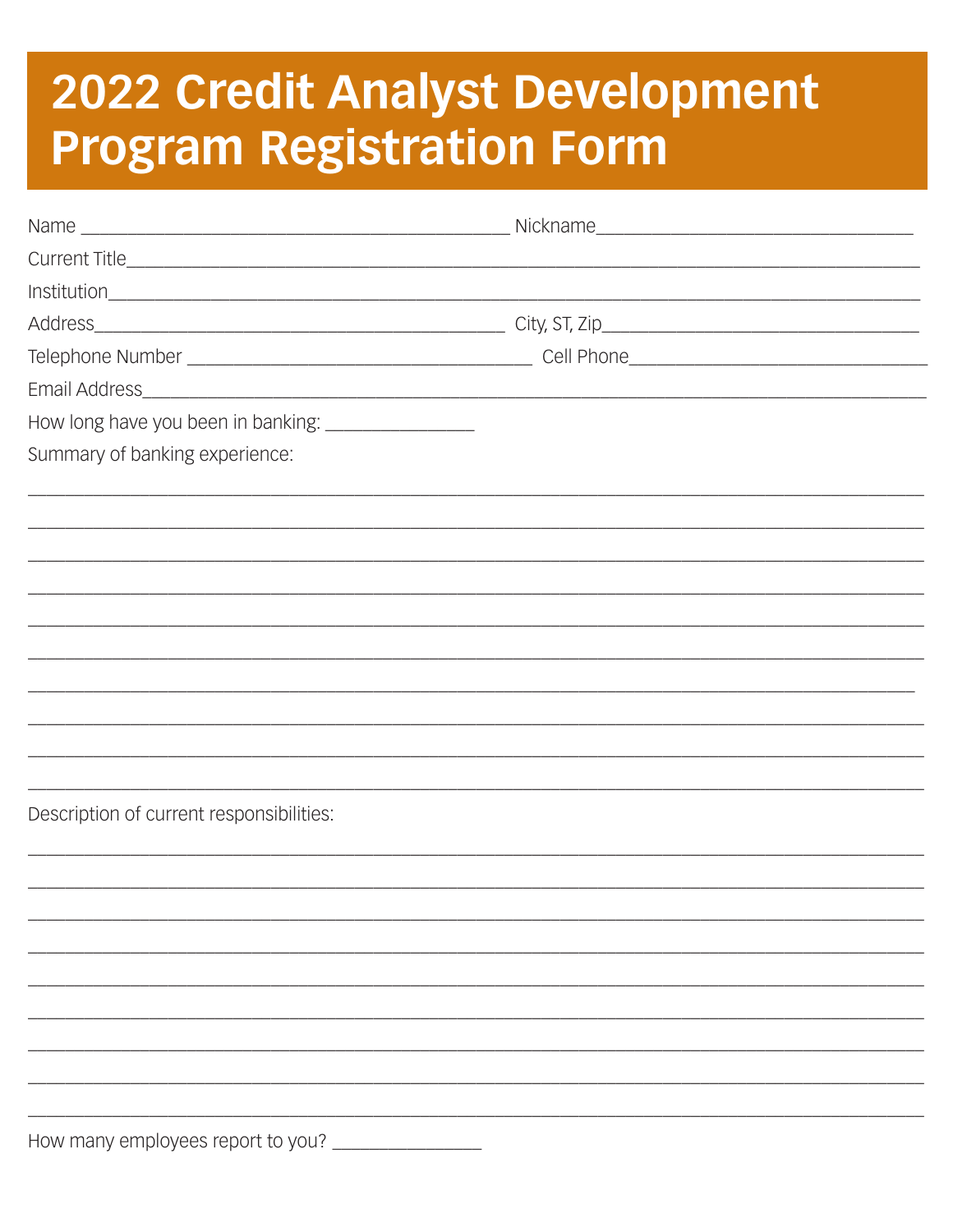## 2022 Credit Analyst Development **Program Registration Form**

| How long have you been in banking: ___________________ |  |
|--------------------------------------------------------|--|
| Summary of banking experience:                         |  |
|                                                        |  |
|                                                        |  |
|                                                        |  |
|                                                        |  |
|                                                        |  |
|                                                        |  |
|                                                        |  |
|                                                        |  |
|                                                        |  |
| Description of current responsibilities:               |  |
|                                                        |  |
|                                                        |  |
|                                                        |  |
|                                                        |  |
|                                                        |  |
|                                                        |  |
|                                                        |  |
|                                                        |  |

How many employees report to you? \_\_\_\_